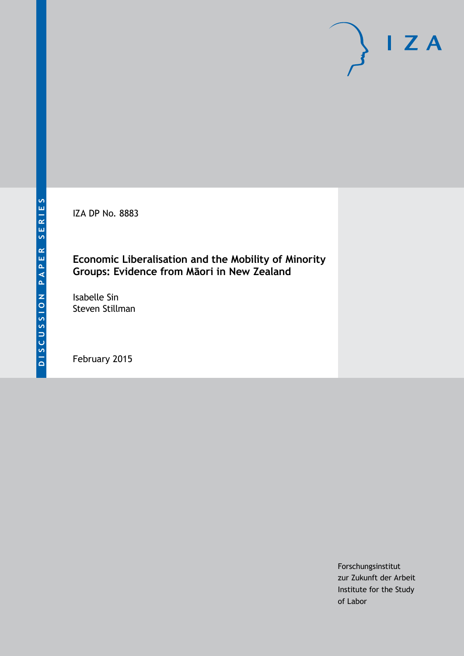IZA DP No. 8883

## **Economic Liberalisation and the Mobility of Minority Groups: Evidence from Māori in New Zealand**

Isabelle Sin Steven Stillman

February 2015

Forschungsinstitut zur Zukunft der Arbeit Institute for the Study of Labor

 $I Z A$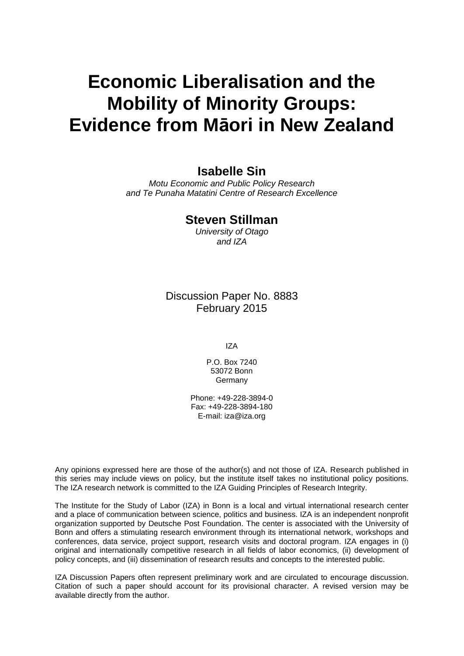# **Economic Liberalisation and the Mobility of Minority Groups: Evidence from Māori in New Zealand**

## **Isabelle Sin**

*Motu Economic and Public Policy Research and Te Punaha Matatini Centre of Research Excellence*

### **Steven Stillman**

*University of Otago and IZA*

Discussion Paper No. 8883 February 2015

IZA

P.O. Box 7240 53072 Bonn Germany

Phone: +49-228-3894-0 Fax: +49-228-3894-180 E-mail: [iza@iza.org](mailto:iza@iza.org)

Any opinions expressed here are those of the author(s) and not those of IZA. Research published in this series may include views on policy, but the institute itself takes no institutional policy positions. The IZA research network is committed to the IZA Guiding Principles of Research Integrity.

<span id="page-1-0"></span>The Institute for the Study of Labor (IZA) in Bonn is a local and virtual international research center and a place of communication between science, politics and business. IZA is an independent nonprofit organization supported by Deutsche Post Foundation. The center is associated with the University of Bonn and offers a stimulating research environment through its international network, workshops and conferences, data service, project support, research visits and doctoral program. IZA engages in (i) original and internationally competitive research in all fields of labor economics, (ii) development of policy concepts, and (iii) dissemination of research results and concepts to the interested public.

IZA Discussion Papers often represent preliminary work and are circulated to encourage discussion. Citation of such a paper should account for its provisional character. A revised version may be available directly from the author.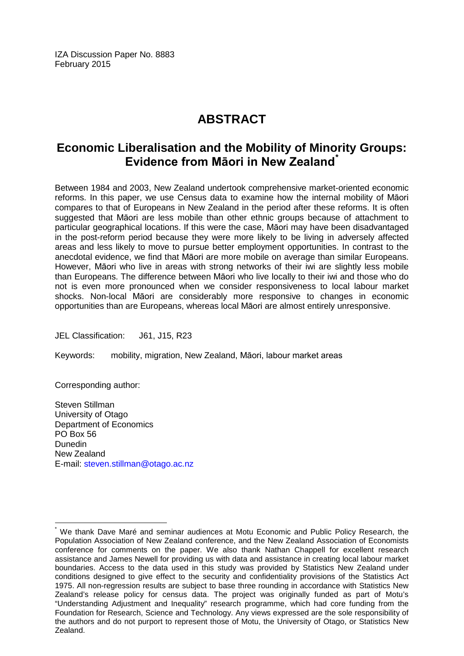IZA Discussion Paper No. 8883 February 2015

# **ABSTRACT**

## **Economic Liberalisation and the Mobility of Minority Groups: Evidence from Māori in New Zealand[\\*](#page-1-0)**

Between 1984 and 2003, New Zealand undertook comprehensive market-oriented economic reforms. In this paper, we use Census data to examine how the internal mobility of Māori compares to that of Europeans in New Zealand in the period after these reforms. It is often suggested that Māori are less mobile than other ethnic groups because of attachment to particular geographical locations. If this were the case, Māori may have been disadvantaged in the post-reform period because they were more likely to be living in adversely affected areas and less likely to move to pursue better employment opportunities. In contrast to the anecdotal evidence, we find that Māori are more mobile on average than similar Europeans. However, Māori who live in areas with strong networks of their iwi are slightly less mobile than Europeans. The difference between Māori who live locally to their iwi and those who do not is even more pronounced when we consider responsiveness to local labour market shocks. Non-local Māori are considerably more responsive to changes in economic opportunities than are Europeans, whereas local Māori are almost entirely unresponsive.

JEL Classification: J61, J15, R23

Keywords: mobility, migration, New Zealand, Māori, labour market areas

Corresponding author:

Steven Stillman University of Otago Department of Economics PO Box 56 Dunedin New Zealand E-mail: [steven.stillman@otago.ac.nz](mailto:steven.stillman@otago.ac.nz)

We thank Dave Maré and seminar audiences at Motu Economic and Public Policy Research, the Population Association of New Zealand conference, and the New Zealand Association of Economists conference for comments on the paper. We also thank Nathan Chappell for excellent research assistance and James Newell for providing us with data and assistance in creating local labour market boundaries. Access to the data used in this study was provided by Statistics New Zealand under conditions designed to give effect to the security and confidentiality provisions of the Statistics Act 1975. All non-regression results are subject to base three rounding in accordance with Statistics New Zealand's release policy for census data. The project was originally funded as part of Motu's "Understanding Adjustment and Inequality" research programme, which had core funding from the Foundation for Research, Science and Technology. Any views expressed are the sole responsibility of the authors and do not purport to represent those of Motu, the University of Otago, or Statistics New Zealand.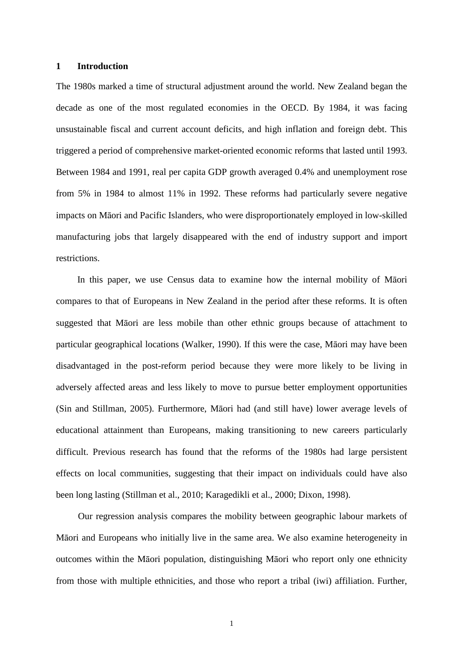#### **1 Introduction**

The 1980s marked a time of structural adjustment around the world. New Zealand began the decade as one of the most regulated economies in the OECD. By 1984, it was facing unsustainable fiscal and current account deficits, and high inflation and foreign debt. This triggered a period of comprehensive market-oriented economic reforms that lasted until 1993. Between 1984 and 1991, real per capita GDP growth averaged 0.4% and unemployment rose from 5% in 1984 to almost 11% in 1992. These reforms had particularly severe negative impacts on Māori and Pacific Islanders, who were disproportionately employed in low-skilled manufacturing jobs that largely disappeared with the end of industry support and import restrictions.

In this paper, we use Census data to examine how the internal mobility of Māori compares to that of Europeans in New Zealand in the period after these reforms. It is often suggested that Māori are less mobile than other ethnic groups because of attachment to particular geographical locations (Walker, 1990). If this were the case, Māori may have been disadvantaged in the post-reform period because they were more likely to be living in adversely affected areas and less likely to move to pursue better employment opportunities (Sin and Stillman, 2005). Furthermore, Māori had (and still have) lower average levels of educational attainment than Europeans, making transitioning to new careers particularly difficult. Previous research has found that the reforms of the 1980s had large persistent effects on local communities, suggesting that their impact on individuals could have also been long lasting (Stillman et al., 2010; Karagedikli et al., 2000; Dixon, 1998).

Our regression analysis compares the mobility between geographic labour markets of Māori and Europeans who initially live in the same area. We also examine heterogeneity in outcomes within the Māori population, distinguishing Māori who report only one ethnicity from those with multiple ethnicities, and those who report a tribal (iwi) affiliation. Further,

1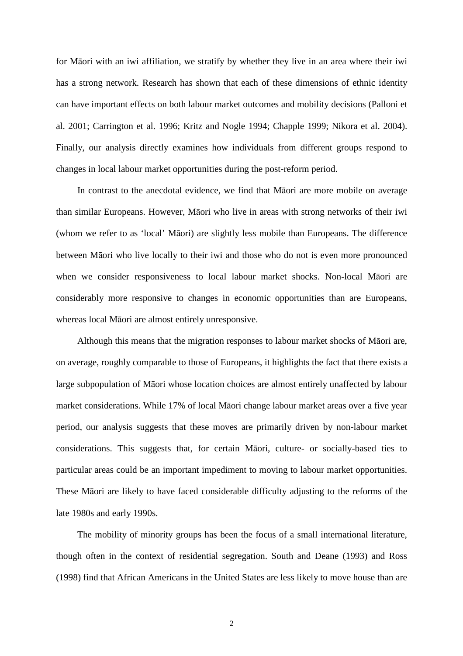for Māori with an iwi affiliation, we stratify by whether they live in an area where their iwi has a strong network. Research has shown that each of these dimensions of ethnic identity can have important effects on both labour market outcomes and mobility decisions (Palloni et al. 2001; Carrington et al. 1996; Kritz and Nogle 1994; Chapple 1999; Nikora et al. 2004). Finally, our analysis directly examines how individuals from different groups respond to changes in local labour market opportunities during the post-reform period.

In contrast to the anecdotal evidence, we find that Māori are more mobile on average than similar Europeans. However, Māori who live in areas with strong networks of their iwi (whom we refer to as 'local' Māori) are slightly less mobile than Europeans. The difference between Māori who live locally to their iwi and those who do not is even more pronounced when we consider responsiveness to local labour market shocks. Non-local Māori are considerably more responsive to changes in economic opportunities than are Europeans, whereas local Māori are almost entirely unresponsive.

Although this means that the migration responses to labour market shocks of Māori are, on average, roughly comparable to those of Europeans, it highlights the fact that there exists a large subpopulation of Māori whose location choices are almost entirely unaffected by labour market considerations. While 17% of local Māori change labour market areas over a five year period, our analysis suggests that these moves are primarily driven by non-labour market considerations. This suggests that, for certain Māori, culture- or socially-based ties to particular areas could be an important impediment to moving to labour market opportunities. These Māori are likely to have faced considerable difficulty adjusting to the reforms of the late 1980s and early 1990s.

The mobility of minority groups has been the focus of a small international literature, though often in the context of residential segregation. South and Deane (1993) and Ross (1998) find that African Americans in the United States are less likely to move house than are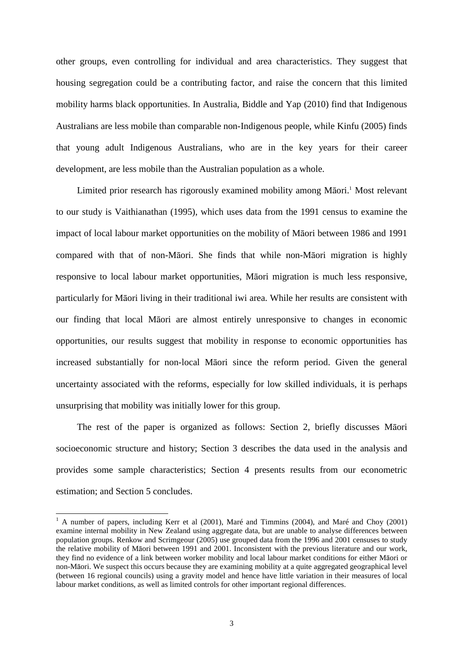other groups, even controlling for individual and area characteristics. They suggest that housing segregation could be a contributing factor, and raise the concern that this limited mobility harms black opportunities. In Australia, Biddle and Yap (2010) find that Indigenous Australians are less mobile than comparable non-Indigenous people, while Kinfu (2005) finds that young adult Indigenous Australians, who are in the key years for their career development, are less mobile than the Australian population as a whole.

Limited prior research has rigorously examined mobility among Māori.<sup>1</sup> Most relevant to our study is Vaithianathan (1995), which uses data from the 1991 census to examine the impact of local labour market opportunities on the mobility of Māori between 1986 and 1991 compared with that of non-Māori. She finds that while non-Māori migration is highly responsive to local labour market opportunities, Māori migration is much less responsive, particularly for Māori living in their traditional iwi area. While her results are consistent with our finding that local Māori are almost entirely unresponsive to changes in economic opportunities, our results suggest that mobility in response to economic opportunities has increased substantially for non-local Māori since the reform period. Given the general uncertainty associated with the reforms, especially for low skilled individuals, it is perhaps unsurprising that mobility was initially lower for this group.

The rest of the paper is organized as follows: Section 2, briefly discusses Māori socioeconomic structure and history; Section 3 describes the data used in the analysis and provides some sample characteristics; Section 4 presents results from our econometric estimation; and Section 5 concludes.

<sup>&</sup>lt;sup>1</sup> A number of papers, including Kerr et al (2001), Maré and Timmins (2004), and Maré and Choy (2001) examine internal mobility in New Zealand using aggregate data, but are unable to analyse differences between population groups. Renkow and Scrimgeour (2005) use grouped data from the 1996 and 2001 censuses to study the relative mobility of Māori between 1991 and 2001. Inconsistent with the previous literature and our work, they find no evidence of a link between worker mobility and local labour market conditions for either Māori or non-Māori. We suspect this occurs because they are examining mobility at a quite aggregated geographical level (between 16 regional councils) using a gravity model and hence have little variation in their measures of local labour market conditions, as well as limited controls for other important regional differences.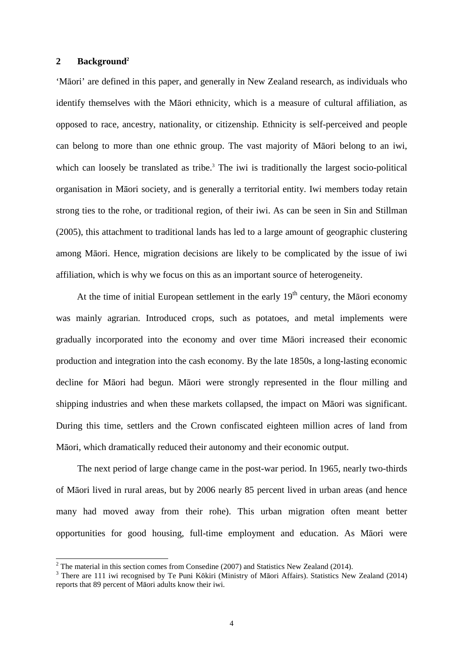#### **2 Background<sup>2</sup>**

 $\overline{a}$ 

'Māori' are defined in this paper, and generally in New Zealand research, as individuals who identify themselves with the Māori ethnicity, which is a measure of cultural affiliation, as opposed to race, ancestry, nationality, or citizenship. Ethnicity is self-perceived and people can belong to more than one ethnic group. The vast majority of Māori belong to an iwi, which can loosely be translated as tribe.<sup>3</sup> The iwi is traditionally the largest socio-political organisation in Māori society, and is generally a territorial entity. Iwi members today retain strong ties to the rohe, or traditional region, of their iwi. As can be seen in Sin and Stillman (2005), this attachment to traditional lands has led to a large amount of geographic clustering among Māori. Hence, migration decisions are likely to be complicated by the issue of iwi affiliation, which is why we focus on this as an important source of heterogeneity.

At the time of initial European settlement in the early  $19<sup>th</sup>$  century, the Māori economy was mainly agrarian. Introduced crops, such as potatoes, and metal implements were gradually incorporated into the economy and over time Māori increased their economic production and integration into the cash economy. By the late 1850s, a long-lasting economic decline for Māori had begun. Māori were strongly represented in the flour milling and shipping industries and when these markets collapsed, the impact on Māori was significant. During this time, settlers and the Crown confiscated eighteen million acres of land from Māori, which dramatically reduced their autonomy and their economic output.

The next period of large change came in the post-war period. In 1965, nearly two-thirds of Māori lived in rural areas, but by 2006 nearly 85 percent lived in urban areas (and hence many had moved away from their rohe). This urban migration often meant better opportunities for good housing, full-time employment and education. As Māori were

<sup>&</sup>lt;sup>2</sup> The material in this section comes from Consedine (2007) and Statistics New Zealand (2014).

<sup>&</sup>lt;sup>3</sup> There are 111 iwi recognised by Te Puni Kōkiri (Ministry of Māori Affairs). Statistics New Zealand (2014) reports that 89 percent of Māori adults know their iwi.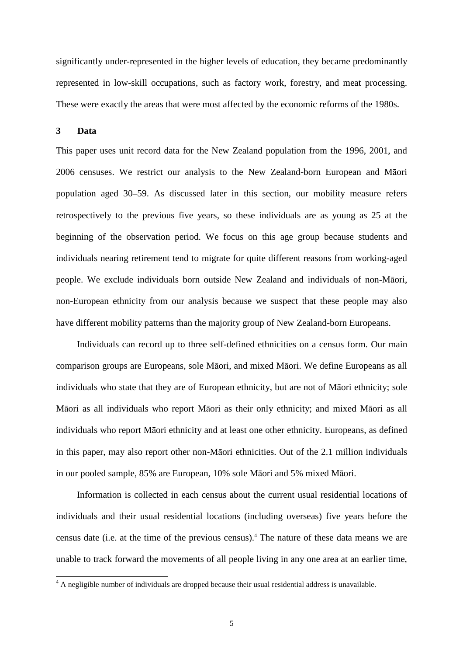significantly under-represented in the higher levels of education, they became predominantly represented in low-skill occupations, such as factory work, forestry, and meat processing. These were exactly the areas that were most affected by the economic reforms of the 1980s.

#### **3 Data**

This paper uses unit record data for the New Zealand population from the 1996, 2001, and 2006 censuses. We restrict our analysis to the New Zealand-born European and Māori population aged 30–59. As discussed later in this section, our mobility measure refers retrospectively to the previous five years, so these individuals are as young as 25 at the beginning of the observation period. We focus on this age group because students and individuals nearing retirement tend to migrate for quite different reasons from working-aged people. We exclude individuals born outside New Zealand and individuals of non-Māori, non-European ethnicity from our analysis because we suspect that these people may also have different mobility patterns than the majority group of New Zealand-born Europeans.

Individuals can record up to three self-defined ethnicities on a census form. Our main comparison groups are Europeans, sole Māori, and mixed Māori. We define Europeans as all individuals who state that they are of European ethnicity, but are not of Māori ethnicity; sole Māori as all individuals who report Māori as their only ethnicity; and mixed Māori as all individuals who report Māori ethnicity and at least one other ethnicity. Europeans, as defined in this paper, may also report other non-Māori ethnicities. Out of the 2.1 million individuals in our pooled sample, 85% are European, 10% sole Māori and 5% mixed Māori.

Information is collected in each census about the current usual residential locations of individuals and their usual residential locations (including overseas) five years before the census date (i.e. at the time of the previous census).<sup>4</sup> The nature of these data means we are unable to track forward the movements of all people living in any one area at an earlier time,

<sup>&</sup>lt;sup>4</sup> A negligible number of individuals are dropped because their usual residential address is unavailable.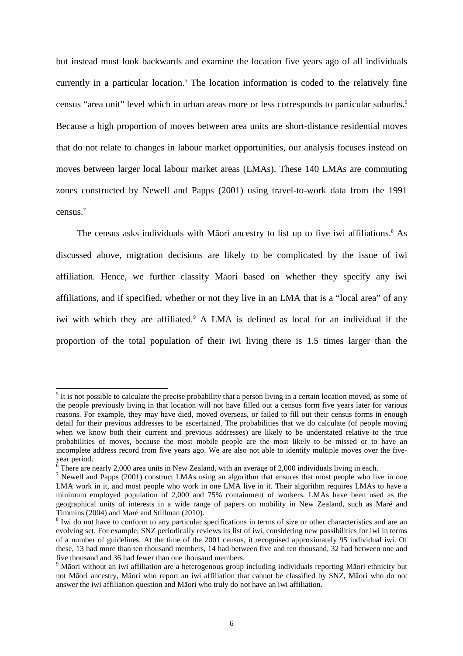but instead must look backwards and examine the location five years ago of all individuals currently in a particular location.<sup>5</sup> The location information is coded to the relatively fine census "area unit" level which in urban areas more or less corresponds to particular suburbs.<sup>6</sup> Because a high proportion of moves between area units are short-distance residential moves that do not relate to changes in labour market opportunities, our analysis focuses instead on moves between larger local labour market areas (LMAs). These 140 LMAs are commuting zones constructed by Newell and Papps (2001) using travel-to-work data from the 1991 census.<sup>7</sup>

The census asks individuals with Māori ancestry to list up to five iwi affiliations.<sup>8</sup> As discussed above, migration decisions are likely to be complicated by the issue of iwi affiliation. Hence, we further classify Māori based on whether they specify any iwi affiliations, and if specified, whether or not they live in an LMA that is a "local area" of any iwi with which they are affiliated.<sup>9</sup> A LMA is defined as local for an individual if the proportion of the total population of their iwi living there is 1.5 times larger than the

<sup>&</sup>lt;sup>5</sup> It is not possible to calculate the precise probability that a person living in a certain location moved, as some of the people previously living in that location will not have filled out a census form five years later for various reasons. For example, they may have died, moved overseas, or failed to fill out their census forms in enough detail for their previous addresses to be ascertained. The probabilities that we do calculate (of people moving when we know both their current and previous addresses) are likely to be understated relative to the true probabilities of moves, because the most mobile people are the most likely to be missed or to have an incomplete address record from five years ago. We are also not able to identify multiple moves over the five-

year period.<br><sup>6</sup> There are nearly 2,000 area units in New Zealand, with an average of 2,000 individuals living in each.

<sup>&</sup>lt;sup>7</sup> Newell and Papps (2001) construct LMAs using an algorithm that ensures that most people who live in one LMA work in it, and most people who work in one LMA live in it. Their algorithm requires LMAs to have a minimum employed population of 2,000 and 75% containment of workers. LMAs have been used as the geographical units of interests in a wide range of papers on mobility in New Zealand, such as Maré and Timmins (2004) and Maré and Stillman (2010).

<sup>&</sup>lt;sup>8</sup> Iwi do not have to conform to any particular specifications in terms of size or other characteristics and are an evolving set. For example, SNZ periodically reviews its list of iwi, considering new possibilities for iwi in terms of a number of guidelines. At the time of the 2001 census, it recognised approximately 95 individual iwi. Of these, 13 had more than ten thousand members, 14 had between five and ten thousand, 32 had between one and five thousand and 36 had fewer than one thousand members.

<sup>&</sup>lt;sup>9</sup> Māori without an iwi affiliation are a heterogenous group including individuals reporting Māori ethnicity but not Māori ancestry, Māori who report an iwi affiliation that cannot be classified by SNZ, Māori who do not answer the iwi affiliation question and Māori who truly do not have an iwi affiliation.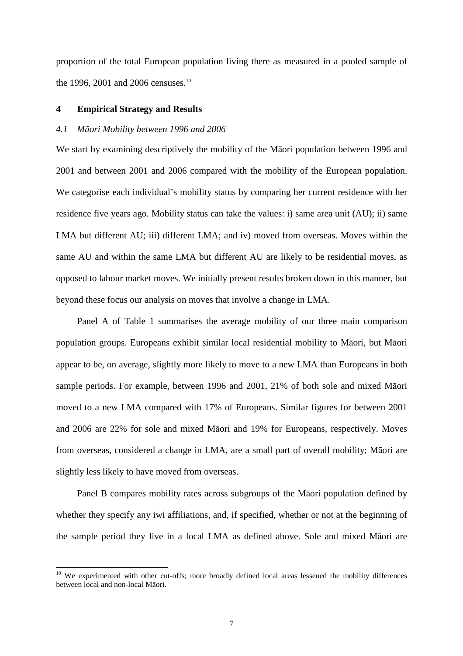proportion of the total European population living there as measured in a pooled sample of the 1996, 2001 and 2006 censuses.<sup>10</sup>

#### **4 Empirical Strategy and Results**

 $\overline{a}$ 

#### *4.1 M*ā*ori Mobility between 1996 and 2006*

We start by examining descriptively the mobility of the Māori population between 1996 and 2001 and between 2001 and 2006 compared with the mobility of the European population. We categorise each individual's mobility status by comparing her current residence with her residence five years ago. Mobility status can take the values: i) same area unit (AU); ii) same LMA but different AU; iii) different LMA; and iv) moved from overseas. Moves within the same AU and within the same LMA but different AU are likely to be residential moves, as opposed to labour market moves. We initially present results broken down in this manner, but beyond these focus our analysis on moves that involve a change in LMA.

Panel A of Table 1 summarises the average mobility of our three main comparison population groups. Europeans exhibit similar local residential mobility to Māori, but Māori appear to be, on average, slightly more likely to move to a new LMA than Europeans in both sample periods. For example, between 1996 and 2001, 21% of both sole and mixed Māori moved to a new LMA compared with 17% of Europeans. Similar figures for between 2001 and 2006 are 22% for sole and mixed Māori and 19% for Europeans, respectively. Moves from overseas, considered a change in LMA, are a small part of overall mobility; Māori are slightly less likely to have moved from overseas.

Panel B compares mobility rates across subgroups of the Māori population defined by whether they specify any iwi affiliations, and, if specified, whether or not at the beginning of the sample period they live in a local LMA as defined above. Sole and mixed Māori are

<sup>&</sup>lt;sup>10</sup> We experimented with other cut-offs; more broadly defined local areas lessened the mobility differences between local and non-local Māori.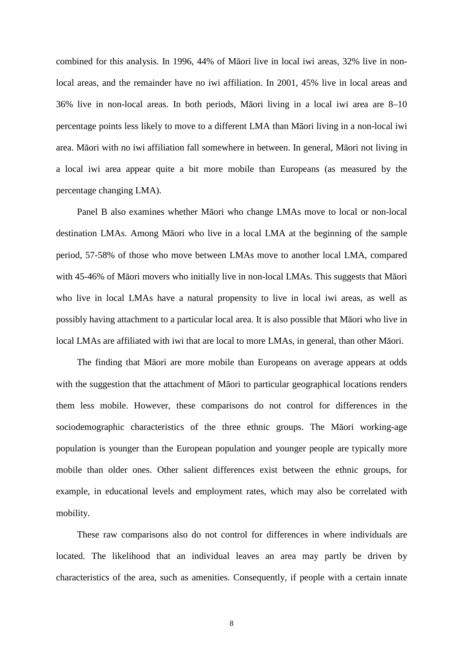combined for this analysis. In 1996, 44% of Māori live in local iwi areas, 32% live in nonlocal areas, and the remainder have no iwi affiliation. In 2001, 45% live in local areas and 36% live in non-local areas. In both periods, Māori living in a local iwi area are 8–10 percentage points less likely to move to a different LMA than Māori living in a non-local iwi area. Māori with no iwi affiliation fall somewhere in between. In general, Māori not living in a local iwi area appear quite a bit more mobile than Europeans (as measured by the percentage changing LMA).

Panel B also examines whether Māori who change LMAs move to local or non-local destination LMAs. Among Māori who live in a local LMA at the beginning of the sample period, 57-58% of those who move between LMAs move to another local LMA, compared with 45-46% of Māori movers who initially live in non-local LMAs. This suggests that Māori who live in local LMAs have a natural propensity to live in local iwi areas, as well as possibly having attachment to a particular local area. It is also possible that Māori who live in local LMAs are affiliated with iwi that are local to more LMAs, in general, than other Māori.

The finding that Māori are more mobile than Europeans on average appears at odds with the suggestion that the attachment of Māori to particular geographical locations renders them less mobile. However, these comparisons do not control for differences in the sociodemographic characteristics of the three ethnic groups. The Māori working-age population is younger than the European population and younger people are typically more mobile than older ones. Other salient differences exist between the ethnic groups, for example, in educational levels and employment rates, which may also be correlated with mobility.

These raw comparisons also do not control for differences in where individuals are located. The likelihood that an individual leaves an area may partly be driven by characteristics of the area, such as amenities. Consequently, if people with a certain innate

8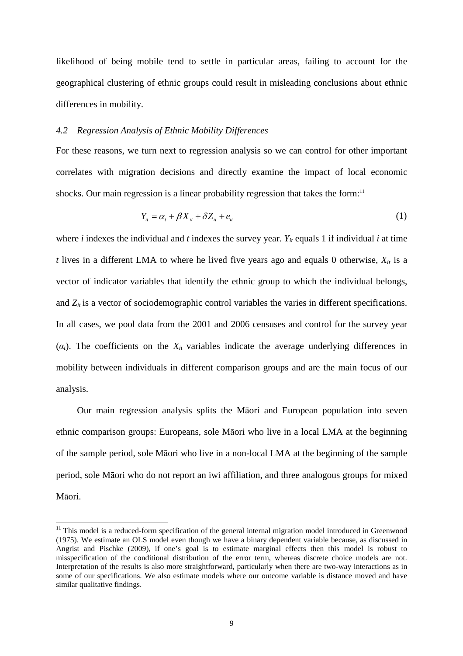likelihood of being mobile tend to settle in particular areas, failing to account for the geographical clustering of ethnic groups could result in misleading conclusions about ethnic differences in mobility.

#### *4.2 Regression Analysis of Ethnic Mobility Differences*

For these reasons, we turn next to regression analysis so we can control for other important correlates with migration decisions and directly examine the impact of local economic shocks. Our main regression is a linear probability regression that takes the form:<sup>11</sup>

$$
Y_{it} = \alpha_t + \beta X_{it} + \delta Z_{it} + e_{it}
$$
 (1)

where *i* indexes the individual and *t* indexes the survey year.  $Y_i$  equals 1 if individual *i* at time *t* lives in a different LMA to where he lived five years ago and equals 0 otherwise,  $X_{it}$  is a vector of indicator variables that identify the ethnic group to which the individual belongs, and  $Z_{it}$  is a vector of sociodemographic control variables the varies in different specifications. In all cases, we pool data from the 2001 and 2006 censuses and control for the survey year  $(\alpha_t)$ . The coefficients on the  $X_t$  variables indicate the average underlying differences in mobility between individuals in different comparison groups and are the main focus of our analysis.

Our main regression analysis splits the Māori and European population into seven ethnic comparison groups: Europeans, sole Māori who live in a local LMA at the beginning of the sample period, sole Māori who live in a non-local LMA at the beginning of the sample period, sole Māori who do not report an iwi affiliation, and three analogous groups for mixed Māori.

 $\overline{a}$ 

<sup>&</sup>lt;sup>11</sup> This model is a reduced-form specification of the general internal migration model introduced in Greenwood (1975). We estimate an OLS model even though we have a binary dependent variable because, as discussed in Angrist and Pischke (2009), if one's goal is to estimate marginal effects then this model is robust to misspecification of the conditional distribution of the error term, whereas discrete choice models are not. Interpretation of the results is also more straightforward, particularly when there are two-way interactions as in some of our specifications. We also estimate models where our outcome variable is distance moved and have similar qualitative findings.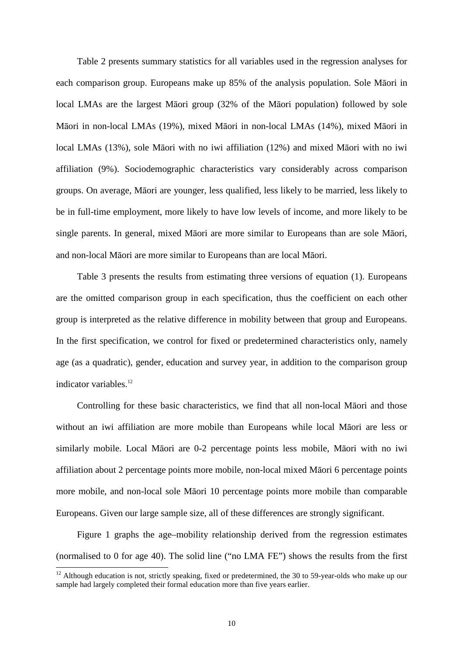Table 2 presents summary statistics for all variables used in the regression analyses for each comparison group. Europeans make up 85% of the analysis population. Sole Māori in local LMAs are the largest Māori group (32% of the Māori population) followed by sole Māori in non-local LMAs (19%), mixed Māori in non-local LMAs (14%), mixed Māori in local LMAs (13%), sole Māori with no iwi affiliation (12%) and mixed Māori with no iwi affiliation (9%). Sociodemographic characteristics vary considerably across comparison groups. On average, Māori are younger, less qualified, less likely to be married, less likely to be in full-time employment, more likely to have low levels of income, and more likely to be single parents. In general, mixed Māori are more similar to Europeans than are sole Māori, and non-local Māori are more similar to Europeans than are local Māori.

Table 3 presents the results from estimating three versions of equation (1). Europeans are the omitted comparison group in each specification, thus the coefficient on each other group is interpreted as the relative difference in mobility between that group and Europeans. In the first specification, we control for fixed or predetermined characteristics only, namely age (as a quadratic), gender, education and survey year, in addition to the comparison group indicator variables.<sup>12</sup>

Controlling for these basic characteristics, we find that all non-local Māori and those without an iwi affiliation are more mobile than Europeans while local Māori are less or similarly mobile. Local Māori are 0-2 percentage points less mobile, Māori with no iwi affiliation about 2 percentage points more mobile, non-local mixed Māori 6 percentage points more mobile, and non-local sole Māori 10 percentage points more mobile than comparable Europeans. Given our large sample size, all of these differences are strongly significant.

Figure 1 graphs the age–mobility relationship derived from the regression estimates (normalised to 0 for age 40). The solid line ("no LMA FE") shows the results from the first

 $\overline{a}$ 

<sup>&</sup>lt;sup>12</sup> Although education is not, strictly speaking, fixed or predetermined, the 30 to 59-year-olds who make up our sample had largely completed their formal education more than five years earlier.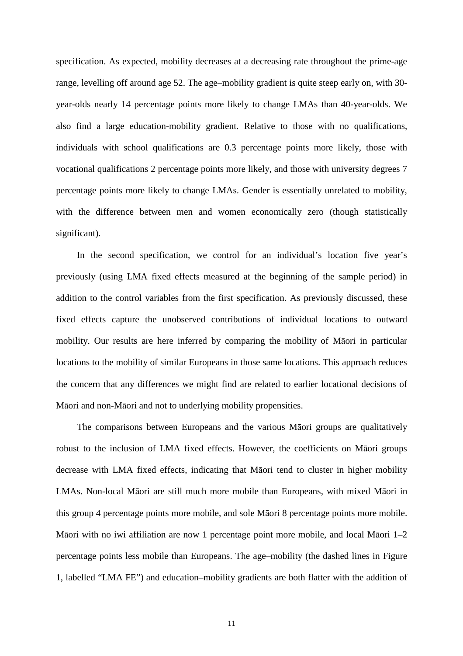specification. As expected, mobility decreases at a decreasing rate throughout the prime-age range, levelling off around age 52. The age–mobility gradient is quite steep early on, with 30 year-olds nearly 14 percentage points more likely to change LMAs than 40-year-olds. We also find a large education-mobility gradient. Relative to those with no qualifications, individuals with school qualifications are 0.3 percentage points more likely, those with vocational qualifications 2 percentage points more likely, and those with university degrees 7 percentage points more likely to change LMAs. Gender is essentially unrelated to mobility, with the difference between men and women economically zero (though statistically significant).

In the second specification, we control for an individual's location five year's previously (using LMA fixed effects measured at the beginning of the sample period) in addition to the control variables from the first specification. As previously discussed, these fixed effects capture the unobserved contributions of individual locations to outward mobility. Our results are here inferred by comparing the mobility of Māori in particular locations to the mobility of similar Europeans in those same locations. This approach reduces the concern that any differences we might find are related to earlier locational decisions of Māori and non-Māori and not to underlying mobility propensities.

The comparisons between Europeans and the various Māori groups are qualitatively robust to the inclusion of LMA fixed effects. However, the coefficients on Māori groups decrease with LMA fixed effects, indicating that Māori tend to cluster in higher mobility LMAs. Non-local Māori are still much more mobile than Europeans, with mixed Māori in this group 4 percentage points more mobile, and sole Māori 8 percentage points more mobile. Māori with no iwi affiliation are now 1 percentage point more mobile, and local Māori 1–2 percentage points less mobile than Europeans. The age–mobility (the dashed lines in Figure 1, labelled "LMA FE") and education–mobility gradients are both flatter with the addition of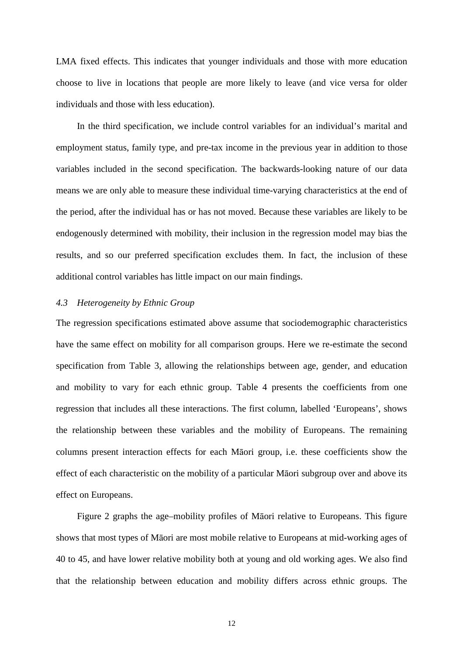LMA fixed effects. This indicates that younger individuals and those with more education choose to live in locations that people are more likely to leave (and vice versa for older individuals and those with less education).

In the third specification, we include control variables for an individual's marital and employment status, family type, and pre-tax income in the previous year in addition to those variables included in the second specification. The backwards-looking nature of our data means we are only able to measure these individual time-varying characteristics at the end of the period, after the individual has or has not moved. Because these variables are likely to be endogenously determined with mobility, their inclusion in the regression model may bias the results, and so our preferred specification excludes them. In fact, the inclusion of these additional control variables has little impact on our main findings.

#### *4.3 Heterogeneity by Ethnic Group*

The regression specifications estimated above assume that sociodemographic characteristics have the same effect on mobility for all comparison groups. Here we re-estimate the second specification from Table 3, allowing the relationships between age, gender, and education and mobility to vary for each ethnic group. Table 4 presents the coefficients from one regression that includes all these interactions. The first column, labelled 'Europeans', shows the relationship between these variables and the mobility of Europeans. The remaining columns present interaction effects for each Māori group, i.e. these coefficients show the effect of each characteristic on the mobility of a particular Māori subgroup over and above its effect on Europeans.

Figure 2 graphs the age–mobility profiles of Māori relative to Europeans. This figure shows that most types of Māori are most mobile relative to Europeans at mid-working ages of 40 to 45, and have lower relative mobility both at young and old working ages. We also find that the relationship between education and mobility differs across ethnic groups. The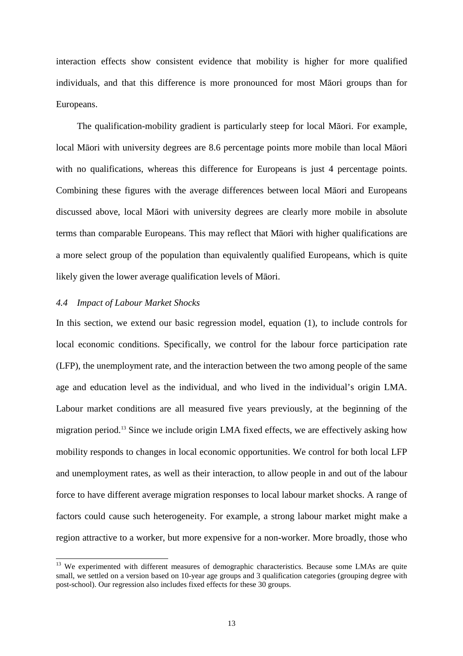interaction effects show consistent evidence that mobility is higher for more qualified individuals, and that this difference is more pronounced for most Māori groups than for Europeans.

The qualification-mobility gradient is particularly steep for local Māori. For example, local Māori with university degrees are 8.6 percentage points more mobile than local Māori with no qualifications, whereas this difference for Europeans is just 4 percentage points. Combining these figures with the average differences between local Māori and Europeans discussed above, local Māori with university degrees are clearly more mobile in absolute terms than comparable Europeans. This may reflect that Māori with higher qualifications are a more select group of the population than equivalently qualified Europeans, which is quite likely given the lower average qualification levels of Māori.

#### *4.4 Impact of Labour Market Shocks*

 $\overline{a}$ 

In this section, we extend our basic regression model, equation (1), to include controls for local economic conditions. Specifically, we control for the labour force participation rate (LFP), the unemployment rate, and the interaction between the two among people of the same age and education level as the individual, and who lived in the individual's origin LMA. Labour market conditions are all measured five years previously, at the beginning of the migration period.<sup>13</sup> Since we include origin LMA fixed effects, we are effectively asking how mobility responds to changes in local economic opportunities. We control for both local LFP and unemployment rates, as well as their interaction, to allow people in and out of the labour force to have different average migration responses to local labour market shocks. A range of factors could cause such heterogeneity. For example, a strong labour market might make a region attractive to a worker, but more expensive for a non-worker. More broadly, those who

<sup>&</sup>lt;sup>13</sup> We experimented with different measures of demographic characteristics. Because some LMAs are quite small, we settled on a version based on 10-year age groups and 3 qualification categories (grouping degree with post-school). Our regression also includes fixed effects for these 30 groups.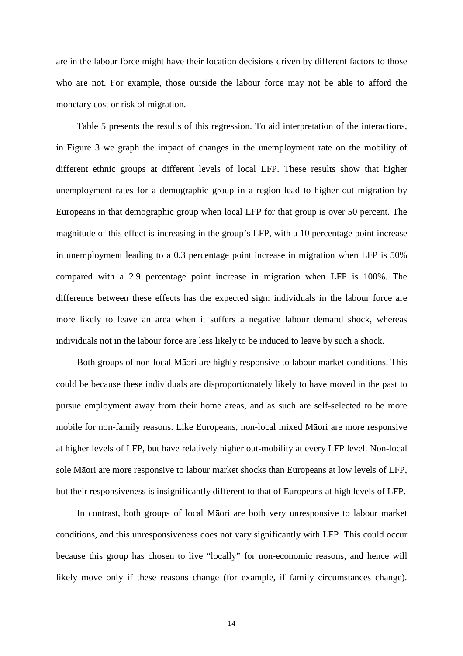are in the labour force might have their location decisions driven by different factors to those who are not. For example, those outside the labour force may not be able to afford the monetary cost or risk of migration.

Table 5 presents the results of this regression. To aid interpretation of the interactions, in Figure 3 we graph the impact of changes in the unemployment rate on the mobility of different ethnic groups at different levels of local LFP. These results show that higher unemployment rates for a demographic group in a region lead to higher out migration by Europeans in that demographic group when local LFP for that group is over 50 percent. The magnitude of this effect is increasing in the group's LFP, with a 10 percentage point increase in unemployment leading to a 0.3 percentage point increase in migration when LFP is 50% compared with a 2.9 percentage point increase in migration when LFP is 100%. The difference between these effects has the expected sign: individuals in the labour force are more likely to leave an area when it suffers a negative labour demand shock, whereas individuals not in the labour force are less likely to be induced to leave by such a shock.

Both groups of non-local Māori are highly responsive to labour market conditions. This could be because these individuals are disproportionately likely to have moved in the past to pursue employment away from their home areas, and as such are self-selected to be more mobile for non-family reasons. Like Europeans, non-local mixed Māori are more responsive at higher levels of LFP, but have relatively higher out-mobility at every LFP level. Non-local sole Māori are more responsive to labour market shocks than Europeans at low levels of LFP, but their responsiveness is insignificantly different to that of Europeans at high levels of LFP.

In contrast, both groups of local Māori are both very unresponsive to labour market conditions, and this unresponsiveness does not vary significantly with LFP. This could occur because this group has chosen to live "locally" for non-economic reasons, and hence will likely move only if these reasons change (for example, if family circumstances change).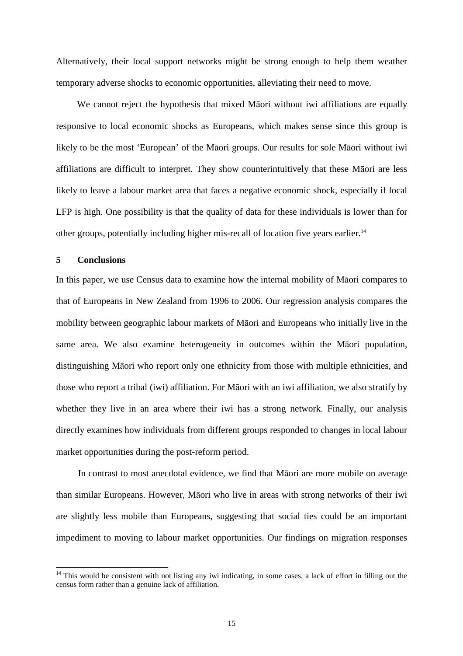Alternatively, their local support networks might be strong enough to help them weather temporary adverse shocks to economic opportunities, alleviating their need to move.

We cannot reject the hypothesis that mixed Māori without iwi affiliations are equally responsive to local economic shocks as Europeans, which makes sense since this group is likely to be the most 'European' of the Māori groups. Our results for sole Māori without iwi affiliations are difficult to interpret. They show counterintuitively that these Māori are less likely to leave a labour market area that faces a negative economic shock, especially if local LFP is high. One possibility is that the quality of data for these individuals is lower than for other groups, potentially including higher mis-recall of location five years earlier.<sup>14</sup>

#### **5 Conclusions**

 $\overline{a}$ 

In this paper, we use Census data to examine how the internal mobility of Māori compares to that of Europeans in New Zealand from 1996 to 2006. Our regression analysis compares the mobility between geographic labour markets of Māori and Europeans who initially live in the same area. We also examine heterogeneity in outcomes within the Māori population, distinguishing Māori who report only one ethnicity from those with multiple ethnicities, and those who report a tribal (iwi) affiliation. For Māori with an iwi affiliation, we also stratify by whether they live in an area where their iwi has a strong network. Finally, our analysis directly examines how individuals from different groups responded to changes in local labour market opportunities during the post-reform period.

 In contrast to most anecdotal evidence, we find that Māori are more mobile on average than similar Europeans. However, Māori who live in areas with strong networks of their iwi are slightly less mobile than Europeans, suggesting that social ties could be an important impediment to moving to labour market opportunities. Our findings on migration responses

 $14$  This would be consistent with not listing any iwi indicating, in some cases, a lack of effort in filling out the census form rather than a genuine lack of affiliation.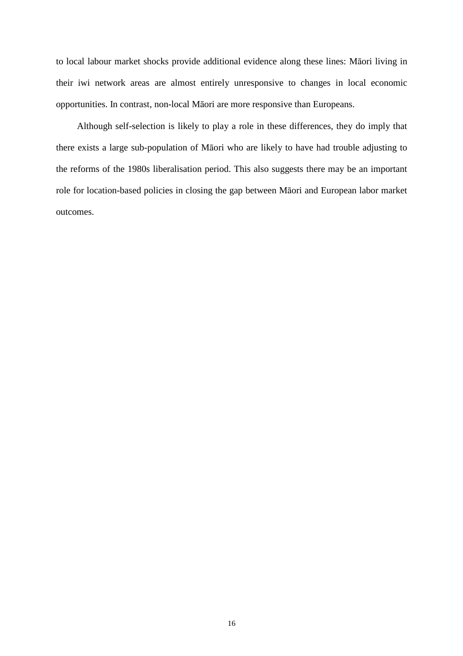to local labour market shocks provide additional evidence along these lines: Māori living in their iwi network areas are almost entirely unresponsive to changes in local economic opportunities. In contrast, non-local Māori are more responsive than Europeans.

Although self-selection is likely to play a role in these differences, they do imply that there exists a large sub-population of Māori who are likely to have had trouble adjusting to the reforms of the 1980s liberalisation period. This also suggests there may be an important role for location-based policies in closing the gap between Māori and European labor market outcomes.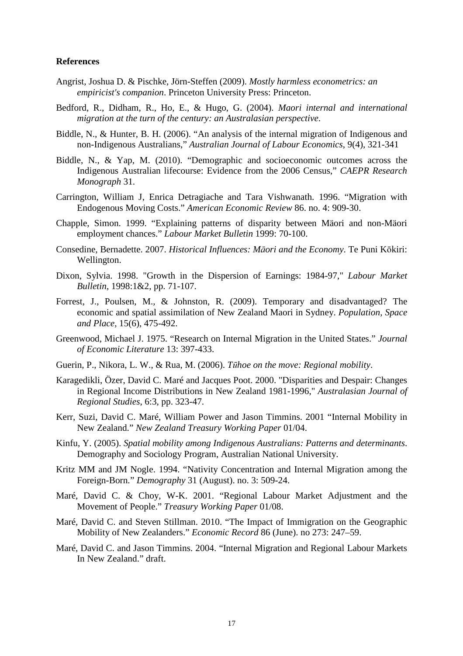#### **References**

- Angrist, Joshua D. & Pischke, Jörn-Steffen (2009). *Mostly harmless econometrics: an empiricist's companion*. Princeton University Press: Princeton.
- Bedford, R., Didham, R., Ho, E., & Hugo, G. (2004). *Maori internal and international migration at the turn of the century: an Australasian perspective*.
- Biddle, N., & Hunter, B. H. (2006). "An analysis of the internal migration of Indigenous and non-Indigenous Australians," *Australian Journal of Labour Economics*, 9(4), 321-341
- Biddle, N., & Yap, M. (2010). "Demographic and socioeconomic outcomes across the Indigenous Australian lifecourse: Evidence from the 2006 Census," *CAEPR Research Monograph* 31.
- Carrington, William J, Enrica Detragiache and Tara Vishwanath. 1996. "Migration with Endogenous Moving Costs." *American Economic Review* 86. no. 4: 909-30.
- Chapple, Simon. 1999. "Explaining patterns of disparity between Mäori and non-Mäori employment chances." *Labour Market Bulletin* 1999: 70-100.
- Consedine, Bernadette. 2007. *Historical Influences: M*ā*ori and the Economy*. Te Puni Kōkiri: Wellington.
- Dixon, Sylvia. 1998. "Growth in the Dispersion of Earnings: 1984-97," *Labour Market Bulletin*, 1998:1&2, pp. 71-107.
- Forrest, J., Poulsen, M., & Johnston, R. (2009). Temporary and disadvantaged? The economic and spatial assimilation of New Zealand Maori in Sydney. *Population, Space and Place*, 15(6), 475-492.
- Greenwood, Michael J. 1975. "Research on Internal Migration in the United States." *Journal of Economic Literature* 13: 397-433.
- Guerin, P., Nikora, L. W., & Rua, M. (2006). *T*ū*hoe on the move: Regional mobility*.
- Karagedikli, Özer, David C. Maré and Jacques Poot. 2000. "Disparities and Despair: Changes in Regional Income Distributions in New Zealand 1981-1996," *Australasian Journal of Regional Studies*, 6:3, pp. 323-47.
- Kerr, Suzi, David C. Maré, William Power and Jason Timmins. 2001 "Internal Mobility in New Zealand." *New Zealand Treasury Working Paper* 01/04.
- Kinfu, Y. (2005). *Spatial mobility among Indigenous Australians: Patterns and determinants*. Demography and Sociology Program, Australian National University.
- Kritz MM and JM Nogle. 1994. "Nativity Concentration and Internal Migration among the Foreign-Born." *Demography* 31 (August). no. 3: 509-24.
- Maré, David C. & Choy, W-K. 2001. "Regional Labour Market Adjustment and the Movement of People." *Treasury Working Paper* 01/08.
- Maré, David C. and Steven Stillman. 2010. "The Impact of Immigration on the Geographic Mobility of New Zealanders." *Economic Record* 86 (June). no 273: 247–59.
- Maré, David C. and Jason Timmins. 2004. "Internal Migration and Regional Labour Markets In New Zealand." draft.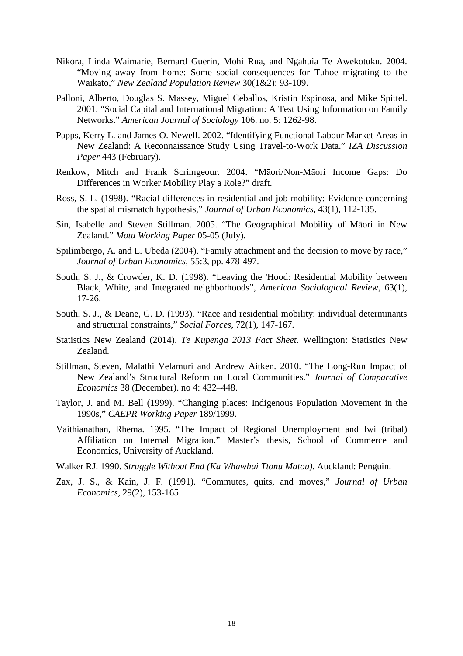- Nikora, Linda Waimarie, Bernard Guerin, Mohi Rua, and Ngahuia Te Awekotuku. 2004. "Moving away from home: Some social consequences for Tuhoe migrating to the Waikato," *New Zealand Population Review* 30(1&2): 93-109.
- Palloni, Alberto, Douglas S. Massey, Miguel Ceballos, Kristin Espinosa, and Mike Spittel. 2001. "Social Capital and International Migration: A Test Using Information on Family Networks." *American Journal of Sociology* 106. no. 5: 1262-98.
- Papps, Kerry L. and James O. Newell. 2002. "Identifying Functional Labour Market Areas in New Zealand: A Reconnaissance Study Using Travel-to-Work Data." *IZA Discussion Paper* 443 (February).
- Renkow, Mitch and Frank Scrimgeour. 2004. "Māori/Non-Māori Income Gaps: Do Differences in Worker Mobility Play a Role?" draft.
- Ross, S. L. (1998). "Racial differences in residential and job mobility: Evidence concerning the spatial mismatch hypothesis," *Journal of Urban Economics*, 43(1), 112-135.
- Sin, Isabelle and Steven Stillman. 2005. "The Geographical Mobility of Māori in New Zealand." *Motu Working Paper* 05-05 (July).
- Spilimbergo, A. and L. Ubeda (2004). "Family attachment and the decision to move by race," *Journal of Urban Economics*, 55:3, pp. 478-497.
- South, S. J., & Crowder, K. D. (1998). "Leaving the 'Hood: Residential Mobility between Black, White, and Integrated neighborhoods", *American Sociological Review*, 63(1), 17-26.
- South, S. J., & Deane, G. D. (1993). "Race and residential mobility: individual determinants and structural constraints," *Social Forces*, 72(1), 147-167.
- Statistics New Zealand (2014). *Te Kupenga 2013 Fact Sheet*. Wellington: Statistics New Zealand.
- Stillman, Steven, Malathi Velamuri and Andrew Aitken. 2010. "The Long-Run Impact of New Zealand's Structural Reform on Local Communities." *Journal of Comparative Economics* 38 (December). no 4: 432–448.
- Taylor, J. and M. Bell (1999). "Changing places: Indigenous Population Movement in the 1990s," *CAEPR Working Paper* 189/1999.
- Vaithianathan, Rhema. 1995. "The Impact of Regional Unemployment and Iwi (tribal) Affiliation on Internal Migration." Master's thesis, School of Commerce and Economics, University of Auckland.
- Walker RJ. 1990. *Struggle Without End (Ka Whawhai Ttonu Matou)*. Auckland: Penguin.
- Zax, J. S., & Kain, J. F. (1991). "Commutes, quits, and moves," *Journal of Urban Economics*, 29(2), 153-165.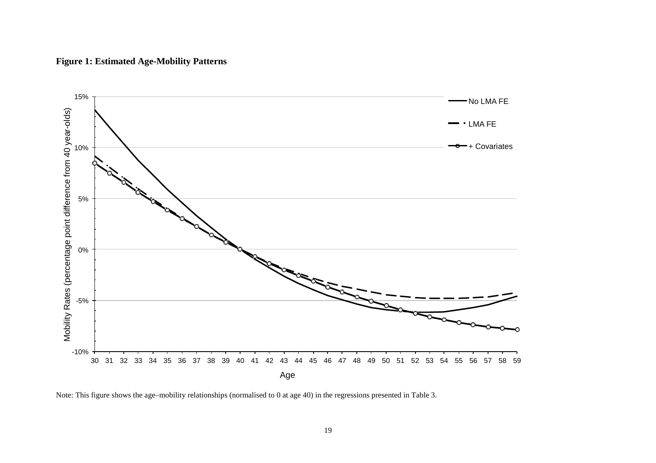



Note: This figure shows the age–mobility relationships (normalised to 0 at age 40) in the regressions presented in Table 3.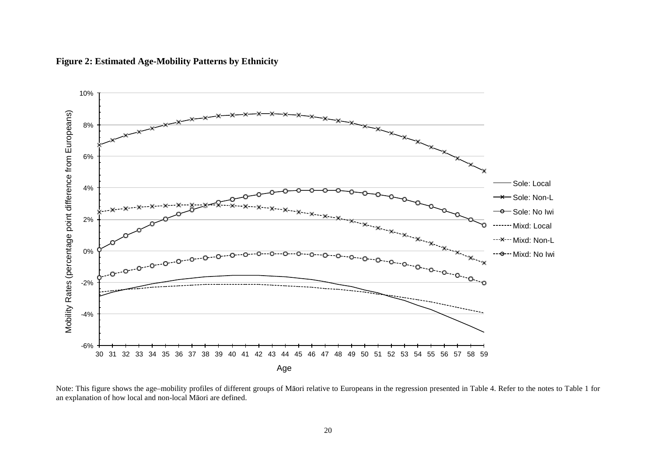

**Figure 2: Estimated Age-Mobility Patterns by Ethnicity** 

Note: This figure shows the age–mobility profiles of different groups of Māori relative to Europeans in the regression presented in Table 4. Refer to the notes to Table 1 for an explanation of how local and non-local Māori are defined.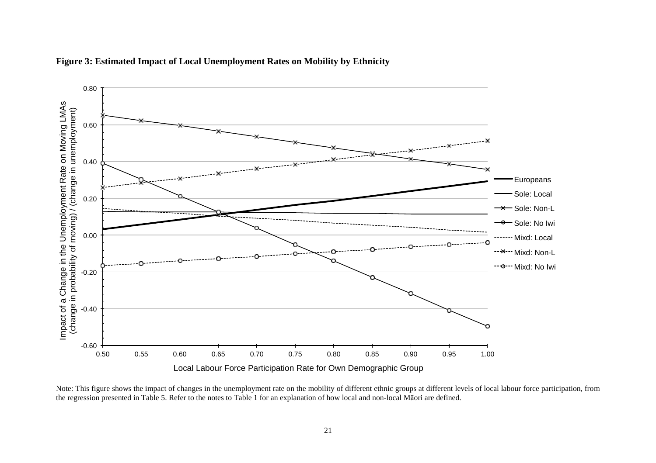

**Figure 3: Estimated Impact of Local Unemployment Rates on Mobility by Ethnicity** 

Note: This figure shows the impact of changes in the unemployment rate on the mobility of different ethnic groups at different levels of local labour force participation, from the regression presented in Table 5. Refer to the notes to Table 1 for an explanation of how local and non-local Māori are defined.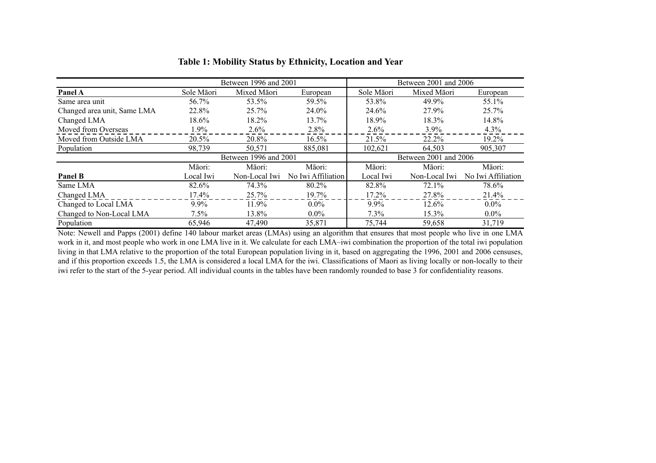|                             |            | Between 1996 and 2001 |                    | Between 2001 and 2006 |               |                    |  |
|-----------------------------|------------|-----------------------|--------------------|-----------------------|---------------|--------------------|--|
| Panel A                     | Sole Māori | Mixed Māori           | European           | Sole Māori            | Mixed Māori   | European           |  |
| Same area unit              | 56.7%      | 53.5%                 | 59.5%              | 53.8%                 | 49.9%         | 55.1%              |  |
| Changed area unit, Same LMA | 22.8%      | $25.7\%$              | 24.0%              | 24.6%                 | 27.9%         | 25.7%              |  |
| Changed LMA                 | 18.6%      | 18.2%                 | 13.7%              | 18.9%                 | 18.3%         | 14.8%              |  |
| Moved from Overseas         | $1.9\%$    | $2.6\%$               | 2.8%               | 2.6%                  | $3.9\%$       | 4.3%               |  |
| Moved from Outside LMA      | 20.5%      | 20.8%                 | $16.5\%$           | 21.5%                 | 22.2%         | 19.2%              |  |
| Population                  | 98,739     | 50,571                | 885,081            | 102,621               | 64.503        | 905,307            |  |
|                             |            | Between 1996 and 2001 |                    | Between 2001 and 2006 |               |                    |  |
|                             | Māori:     | Māori:                | Māori:             | Māori:                | Māori:        | Māori:             |  |
| <b>Panel B</b>              | Local Iwi  | Non-Local Iwi         | No Iwi Affiliation | Local Iwi             | Non-Local Iwi | No Iwi Affiliation |  |
| Same LMA                    | 82.6%      | 74.3%                 | 80.2%              | 82.8%                 | 72.1%         | 78.6%              |  |
| Changed LMA                 | 17.4%      | 25.7%                 | 19.7%              | 17.2%                 | 27.8%         | 21.4%              |  |
| Changed to Local LMA        | 9.9%       | 11.9%                 | $0.0\%$            | $9.9\%$               | 12.6%         | $0.0\%$            |  |
| Changed to Non-Local LMA    | 7.5%       | 13.8%                 | $0.0\%$            | 7.3%                  | 15.3%         | $0.0\%$            |  |
| Population                  | 65,946     | 47,490                | 35,871             | 75,744                | 59,658        | 31,719             |  |

#### **Table 1: Mobility Status by Ethnicity, Location and Year**

Note: Newell and Papps (2001) define 140 labour market areas (LMAs) using an algorithm that ensures that most people who live in one LMA work in it, and most people who work in one LMA live in it. We calculate for each LMA–iwi combination the proportion of the total iwi population living in that LMA relative to the proportion of the total European population living in it, based on aggregating the 1996, 2001 and 2006 censuses, and if this proportion exceeds 1.5, the LMA is considered a local LMA for the iwi. Classifications of Maori as living locally or non-locally to their iwi refer to the start of the 5-year period. All individual counts in the tables have been randomly rounded to base 3 for confidentiality reasons.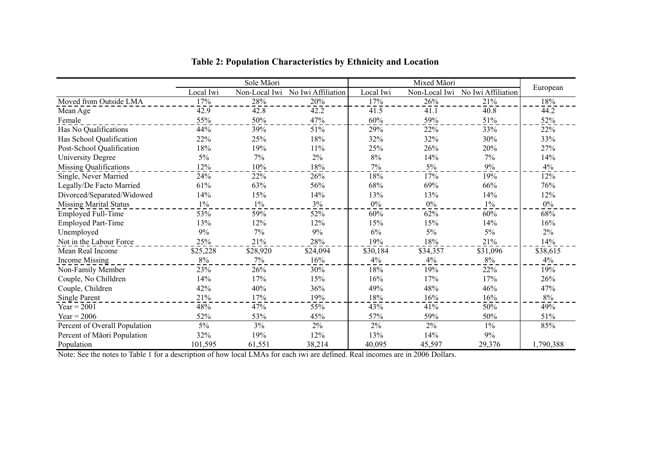|                               | Sole Māori |               |                    |           |               |                    |           |
|-------------------------------|------------|---------------|--------------------|-----------|---------------|--------------------|-----------|
|                               | Local Iwi  | Non-Local Iwi | No Iwi Affiliation | Local Iwi | Non-Local Iwi | No Iwi Affiliation | European  |
| Moved from Outside LMA        | 17%        | 28%           | $20\sqrt{2}$       | 17%       | 26%           | 21%                | 18%       |
| Mean Age                      | 42.9       | 42.8          | 42.2               | 41.5      | 41.1          | 40.8               | 44.2      |
| Female                        | 55%        | 50%           | 47%                | 60%       | 59%           | 51%                | 52%       |
| Has No Qualifications         | 44%        | 39%           | 51%                | 29%       | 22%           | 33%                | 22%       |
| Has School Qualification      | 22%        | 25%           | 18%                | 32%       | 32%           | 30%                | 33%       |
| Post-School Qualification     | 18%        | 19%           | 11%                | 25%       | 26%           | 20%                | 27%       |
| University Degree             | $5\%$      | 7%            | 2%                 | 8%        | 14%           | 7%                 | 14%       |
| Missing Qualifications        | 12%        | 10%           | 18%                | $7\%$     | $5\%$         | 9%                 | 4%        |
| Single, Never Married         | 24%        | 22%           | 26%                | 18%       | 17%           | 19%                | 12%       |
| Legally/De Facto Married      | 61%        | 63%           | 56%                | 68%       | 69%           | 66%                | 76%       |
| Divorced/Separated/Widowed    | 14%        | 15%           | 14%                | 13%       | 13%           | 14%                | 12%       |
| <b>Missing Marital Status</b> | $1\%$      | $1\%$         | 3%                 | $0\%$     | $0\%$         | $1\%$              | $0\%$     |
| <b>Employed Full-Time</b>     | 53%        | 59%           | 52%                | 60%       | 62%           | 60%                | 68%       |
| <b>Employed Part-Time</b>     | 13%        | 12%           | 12%                | 15%       | 15%           | 14%                | 16%       |
| Unemployed                    | 9%         | 7%            | 9%                 | 6%        | $5\%$         | $5\%$              | $2\%$     |
| Not in the Labour Force       | 25%        | 21%           | 28%                | 19%       | 18%           | 21%                | 14%       |
| Mean Real Income              | \$25,228   | \$28,920      | \$24,094           | \$30,184  | \$34,357      | \$31,096           | \$38,615  |
| <b>Income Missing</b>         | 8%         | 7%            | 16%                | 4%        | 4%            | $8\%$              | 4%        |
| Non-Family Member             | 23%        | 26%           | 30%                | 18%       | 19%           | 22%                | 19%       |
| Couple, No Chilldren          | 14%        | 17%           | 15%                | 16%       | 17%           | 17%                | 26%       |
| Couple, Children              | 42%        | 40%           | 36%                | 49%       | 48%           | 46%                | 47%       |
| Single Parent                 | 21%        | 17%           | 19%                | 18%       | 16%           | 16%                | 8%        |
| Year = $2001$                 | 48%        | 47%           | 55%                | 43%       | 41%           | 50%                | 49%       |
| Year = $2006$                 | 52%        | 53%           | 45%                | 57%       | 59%           | 50%                | 51%       |
| Percent of Overall Population | $5\%$      | 3%            | $2\%$              | $2\%$     | 2%            | $1\%$              | 85%       |
| Percent of Māori Population   | 32%        | 19%           | 12%                | 13%       | 14%           | $9\%$              |           |
| Population                    | 101,595    | 61,551        | 38,214             | 40,095    | 45,597        | 29,376             | 1,790,388 |

**Table 2: Population Characteristics by Ethnicity and Location** 

Note: See the notes to Table 1 for a description of how local LMAs for each iwi are defined. Real incomes are in 2006 Dollars.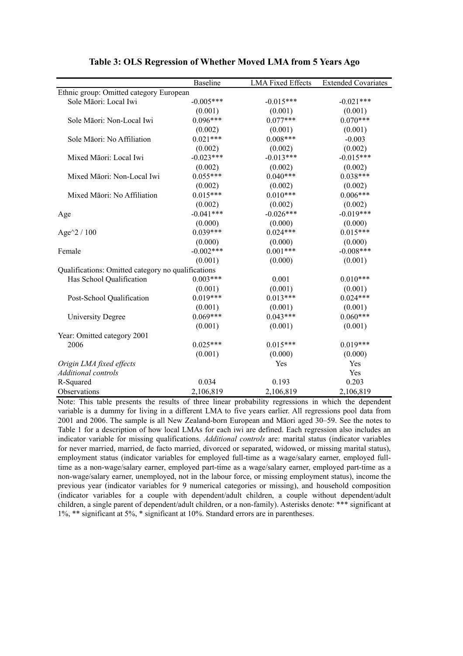|                                                    | <b>Baseline</b> | <b>LMA Fixed Effects</b> | <b>Extended Covariates</b> |  |  |  |
|----------------------------------------------------|-----------------|--------------------------|----------------------------|--|--|--|
| Ethnic group: Omitted category European            |                 |                          |                            |  |  |  |
| Sole Māori: Local Iwi                              | $-0.005***$     | $-0.015***$              | $-0.021***$                |  |  |  |
|                                                    | (0.001)         | (0.001)                  | (0.001)                    |  |  |  |
| Sole Māori: Non-Local Iwi                          | $0.096***$      | $0.077***$               | $0.070***$                 |  |  |  |
|                                                    | (0.002)         | (0.001)                  | (0.001)                    |  |  |  |
| Sole Māori: No Affiliation                         | $0.021***$      | $0.008***$               | $-0.003$                   |  |  |  |
|                                                    | (0.002)         | (0.002)                  | (0.002)                    |  |  |  |
| Mixed Māori: Local Iwi                             | $-0.023***$     | $-0.013***$              | $-0.015***$                |  |  |  |
|                                                    | (0.002)         | (0.002)                  | (0.002)                    |  |  |  |
| Mixed Māori: Non-Local Iwi                         | $0.055***$      | $0.040***$               | $0.038***$                 |  |  |  |
|                                                    | (0.002)         | (0.002)                  | (0.002)                    |  |  |  |
| Mixed Māori: No Affiliation                        | $0.015***$      | $0.010***$               | $0.006***$                 |  |  |  |
|                                                    | (0.002)         | (0.002)                  | (0.002)                    |  |  |  |
| Age                                                | $-0.041***$     | $-0.026***$              | $-0.019***$                |  |  |  |
|                                                    | (0.000)         | (0.000)                  | (0.000)                    |  |  |  |
| Age $^2/100$                                       | $0.039***$      | $0.024***$               | $0.015***$                 |  |  |  |
|                                                    | (0.000)         | (0.000)                  | (0.000)                    |  |  |  |
| Female                                             | $-0.002***$     | $0.001***$               | $-0.008***$                |  |  |  |
|                                                    | (0.001)         | (0.000)                  | (0.001)                    |  |  |  |
| Qualifications: Omitted category no qualifications |                 |                          |                            |  |  |  |
| Has School Qualification                           | $0.003***$      | 0.001                    | $0.010***$                 |  |  |  |
|                                                    | (0.001)         | (0.001)                  | (0.001)                    |  |  |  |
| Post-School Qualification                          | $0.019***$      | $0.013***$               | $0.024***$                 |  |  |  |
|                                                    | (0.001)         | (0.001)                  | (0.001)                    |  |  |  |
| <b>University Degree</b>                           | $0.069***$      | $0.043***$               | $0.060***$                 |  |  |  |
|                                                    | (0.001)         | (0.001)                  | (0.001)                    |  |  |  |
| Year: Omitted category 2001                        |                 |                          |                            |  |  |  |
| 2006                                               | $0.025***$      | $0.015***$               | $0.019***$                 |  |  |  |
|                                                    | (0.001)         | (0.000)                  | (0.000)                    |  |  |  |
| Origin LMA fixed effects                           |                 | Yes                      | Yes                        |  |  |  |
| <b>Additional</b> controls                         |                 |                          | Yes                        |  |  |  |
| R-Squared                                          | 0.034           | 0.193                    | 0.203                      |  |  |  |
| Observations                                       | 2,106,819       | 2,106,819                | 2,106,819                  |  |  |  |

#### **Table 3: OLS Regression of Whether Moved LMA from 5 Years Ago**

Note: This table presents the results of three linear probability regressions in which the dependent variable is a dummy for living in a different LMA to five years earlier. All regressions pool data from 2001 and 2006. The sample is all New Zealand-born European and Māori aged 30–59. See the notes to Table 1 for a description of how local LMAs for each iwi are defined. Each regression also includes an indicator variable for missing qualifications. *Additional controls* are: marital status (indicator variables for never married, married, de facto married, divorced or separated, widowed, or missing marital status), employment status (indicator variables for employed full-time as a wage/salary earner, employed fulltime as a non-wage/salary earner, employed part-time as a wage/salary earner, employed part-time as a non-wage/salary earner, unemployed, not in the labour force, or missing employment status), income the previous year (indicator variables for 9 numerical categories or missing), and household composition (indicator variables for a couple with dependent/adult children, a couple without dependent/adult children, a single parent of dependent/adult children, or a non-family). Asterisks denote: \*\*\* significant at 1%, \*\* significant at 5%, \* significant at 10%. Standard errors are in parentheses.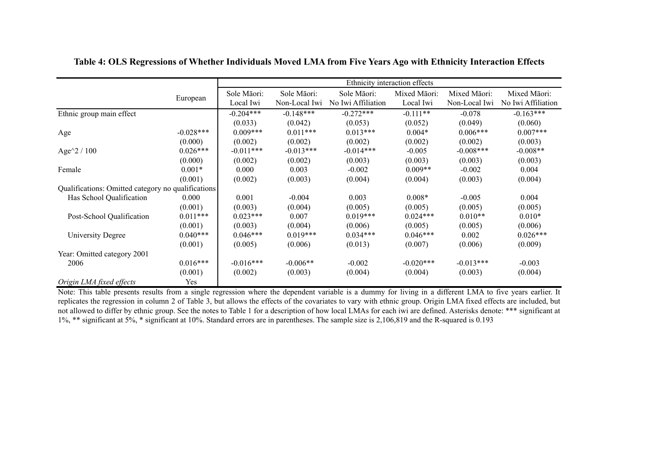|                                                    |             | Ethnicity interaction effects |               |                    |              |               |                    |
|----------------------------------------------------|-------------|-------------------------------|---------------|--------------------|--------------|---------------|--------------------|
|                                                    |             | Sole Māori:                   | Sole Māori:   | Sole Māori:        | Mixed Māori: | Mixed Māori:  | Mixed Māori:       |
|                                                    | European    | Local Iwi                     | Non-Local Iwi | No Iwi Affiliation | Local Iwi    | Non-Local Iwi | No Iwi Affiliation |
| Ethnic group main effect                           |             | $-0.204***$                   | $-0.148***$   | $-0.272***$        | $-0.111**$   | $-0.078$      | $-0.163***$        |
|                                                    |             | (0.033)                       | (0.042)       | (0.053)            | (0.052)      | (0.049)       | (0.060)            |
| Age                                                | $-0.028***$ | $0.009***$                    | $0.011***$    | $0.013***$         | $0.004*$     | $0.006***$    | $0.007***$         |
|                                                    | (0.000)     | (0.002)                       | (0.002)       | (0.002)            | (0.002)      | (0.002)       | (0.003)            |
| Age $^{\wedge}2/100$                               | $0.026***$  | $-0.011***$                   | $-0.013***$   | $-0.014***$        | $-0.005$     | $-0.008***$   | $-0.008**$         |
|                                                    | (0.000)     | (0.002)                       | (0.002)       | (0.003)            | (0.003)      | (0.003)       | (0.003)            |
| Female                                             | $0.001*$    | 0.000                         | 0.003         | $-0.002$           | $0.009**$    | $-0.002$      | 0.004              |
|                                                    | (0.001)     | (0.002)                       | (0.003)       | (0.004)            | (0.004)      | (0.003)       | (0.004)            |
| Qualifications: Omitted category no qualifications |             |                               |               |                    |              |               |                    |
| Has School Qualification                           | 0.000       | 0.001                         | $-0.004$      | 0.003              | $0.008*$     | $-0.005$      | 0.004              |
|                                                    | (0.001)     | (0.003)                       | (0.004)       | (0.005)            | (0.005)      | (0.005)       | (0.005)            |
| Post-School Qualification                          | $0.011***$  | $0.023***$                    | 0.007         | $0.019***$         | $0.024***$   | $0.010**$     | $0.010*$           |
|                                                    | (0.001)     | (0.003)                       | (0.004)       | (0.006)            | (0.005)      | (0.005)       | (0.006)            |
| University Degree                                  | $0.040***$  | $0.046***$                    | $0.019***$    | $0.034***$         | $0.046***$   | 0.002         | $0.026***$         |
|                                                    | (0.001)     | (0.005)                       | (0.006)       | (0.013)            | (0.007)      | (0.006)       | (0.009)            |
| Year: Omitted category 2001                        |             |                               |               |                    |              |               |                    |
| 2006                                               | $0.016***$  | $-0.016***$                   | $-0.006**$    | $-0.002$           | $-0.020***$  | $-0.013***$   | $-0.003$           |
|                                                    | (0.001)     | (0.002)                       | (0.003)       | (0.004)            | (0.004)      | (0.003)       | (0.004)            |
| Origin LMA fixed effects                           | Yes         |                               |               |                    |              |               |                    |

**Table 4: OLS Regressions of Whether Individuals Moved LMA from Five Years Ago with Ethnicity Interaction Effects**

Note: This table presents results from a single regression where the dependent variable is a dummy for living in a different LMA to five years earlier. It replicates the regression in column 2 of Table 3, but allows the effects of the covariates to vary with ethnic group. Origin LMA fixed effects are included, but not allowed to differ by ethnic group. See the notes to Table 1 for a description of how local LMAs for each iwi are defined. Asterisks denote: \*\*\* significant at 1%, \*\* significant at 5%, \* significant at 10%. Standard errors are in parentheses. The sample size is 2,106,819 and the R-squared is 0.193